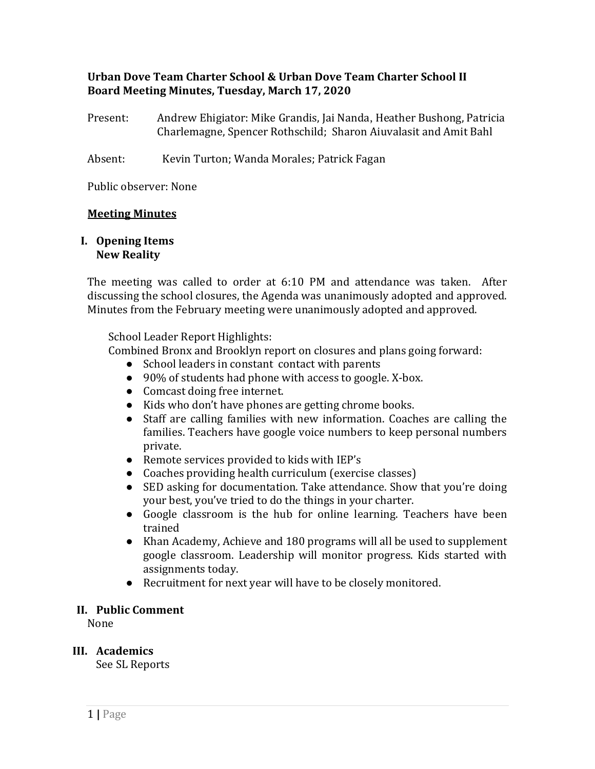# **Urban Dove Team Charter School & Urban Dove Team Charter School II Board Meeting Minutes, Tuesday, March 17, 2020**

Present: Andrew Ehigiator: Mike Grandis, Jai Nanda, Heather Bushong, Patricia Charlemagne, Spencer Rothschild; Sharon Aiuvalasit and Amit Bahl

Absent: Kevin Turton; Wanda Morales; Patrick Fagan

Public observer: None

### **Meeting Minutes**

#### **I. Opening Items New Reality**

The meeting was called to order at 6:10 PM and attendance was taken. After discussing the school closures, the Agenda was unanimously adopted and approved. Minutes from the February meeting were unanimously adopted and approved.

School Leader Report Highlights:

Combined Bronx and Brooklyn report on closures and plans going forward:

- School leaders in constant contact with parents
- 90% of students had phone with access to google. X-box.
- Comcast doing free internet.
- Kids who don't have phones are getting chrome books.
- Staff are calling families with new information. Coaches are calling the families. Teachers have google voice numbers to keep personal numbers private.
- Remote services provided to kids with IEP's
- Coaches providing health curriculum (exercise classes)
- SED asking for documentation. Take attendance. Show that you're doing your best, you've tried to do the things in your charter.
- Google classroom is the hub for online learning. Teachers have been trained
- Khan Academy, Achieve and 180 programs will all be used to supplement google classroom. Leadership will monitor progress. Kids started with assignments today.
- Recruitment for next year will have to be closely monitored.

### **II. Public Comment**

None

# **III. Academics**

See SL Reports